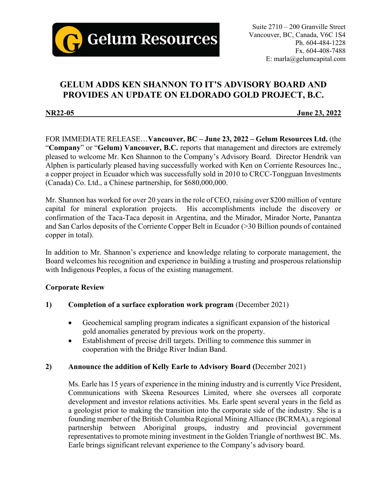

# **GELUM ADDS KEN SHANNON TO IT'S ADVISORY BOARD AND PROVIDES AN UPDATE ON ELDORADO GOLD PROJECT, B.C.**

**NR22-05 June 23, 2022**

FOR IMMEDIATE RELEASE…**Vancouver, BC – June 23, 2022 – Gelum Resources Ltd.** (the "**Company**" or "**Gelum) Vancouver, B.C.** reports that management and directors are extremely pleased to welcome Mr. Ken Shannon to the Company's Advisory Board. Director Hendrik van Alphen is particularly pleased having successfully worked with Ken on Corriente Resources Inc., a copper project in Ecuador which was successfully sold in 2010 to CRCC-Tongguan Investments (Canada) Co. Ltd., a Chinese partnership, for \$680,000,000.

Mr. Shannon has worked for over 20 years in the role of CEO, raising over \$200 million of venture capital for mineral exploration projects. His accomplishments include the discovery or confirmation of the Taca-Taca deposit in Argentina, and the Mirador, Mirador Norte, Panantza and San Carlos deposits of the Corriente Copper Belt in Ecuador (>30 Billion pounds of contained copper in total).

In addition to Mr. Shannon's experience and knowledge relating to corporate management, the Board welcomes his recognition and experience in building a trusting and prosperous relationship with Indigenous Peoples, a focus of the existing management.

# **Corporate Review**

# **1) Completion of a surface exploration work program** (December 2021)

- Geochemical sampling program indicates a significant expansion of the historical gold anomalies generated by previous work on the property.
- Establishment of precise drill targets. Drilling to commence this summer in cooperation with the Bridge River Indian Band.

# **2) Announce the addition of Kelly Earle to Advisory Board (**December 2021)

Ms. Earle has 15 years of experience in the mining industry and is currently Vice President, Communications with Skeena Resources Limited, where she oversees all corporate development and investor relations activities. Ms. Earle spent several years in the field as a geologist prior to making the transition into the corporate side of the industry. She is a founding member of the British Columbia Regional Mining Alliance (BCRMA), a regional partnership between Aboriginal groups, industry and provincial government representatives to promote mining investment in the Golden Triangle of northwest BC. Ms. Earle brings significant relevant experience to the Company's advisory board.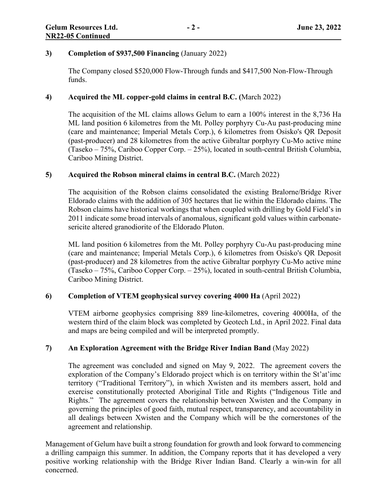#### **3) Completion of \$937,500 Financing** (January 2022)

The Company closed \$520,000 Flow-Through funds and \$417,500 Non-Flow-Through funds.

## **4) Acquired the ML copper-gold claims in central B.C. (**March 2022)

The acquisition of the ML claims allows Gelum to earn a 100% interest in the 8,736 Ha ML land position 6 kilometres from the Mt. Polley porphyry Cu-Au past-producing mine (care and maintenance; Imperial Metals Corp.), 6 kilometres from Osisko's QR Deposit (past-producer) and 28 kilometres from the active Gibraltar porphyry Cu-Mo active mine (Taseko – 75%, Cariboo Copper Corp. – 25%), located in south-central British Columbia, Cariboo Mining District.

### **5) Acquired the Robson mineral claims in central B.C.** (March 2022)

The acquisition of the Robson claims consolidated the existing Bralorne/Bridge River Eldorado claims with the addition of 305 hectares that lie within the Eldorado claims. The Robson claims have historical workings that when coupled with drilling by Gold Field's in 2011 indicate some broad intervals of anomalous, significant gold values within carbonatesericite altered granodiorite of the Eldorado Pluton.

ML land position 6 kilometres from the Mt. Polley porphyry Cu-Au past-producing mine (care and maintenance; Imperial Metals Corp.), 6 kilometres from Osisko's QR Deposit (past-producer) and 28 kilometres from the active Gibraltar porphyry Cu-Mo active mine (Taseko – 75%, Cariboo Copper Corp. – 25%), located in south-central British Columbia, Cariboo Mining District.

#### **6) Completion of VTEM geophysical survey covering 4000 Ha** (April 2022)

VTEM airborne geophysics comprising 889 line-kilometres, covering 4000Ha, of the western third of the claim block was completed by Geotech Ltd., in April 2022. Final data and maps are being compiled and will be interpreted promptly.

#### **7) An Exploration Agreement with the Bridge River Indian Band** (May 2022)

The agreement was concluded and signed on May 9, 2022. The agreement covers the exploration of the Company's Eldorado project which is on territory within the St'at'imc territory ("Traditional Territory"), in which Xwísten and its members assert, hold and exercise constitutionally protected Aboriginal Title and Rights ("Indigenous Title and Rights." The agreement covers the relationship between Xwisten and the Company in governing the principles of good faith, mutual respect, transparency, and accountability in all dealings between Xwisten and the Company which will be the cornerstones of the agreement and relationship.

Management of Gelum have built a strong foundation for growth and look forward to commencing a drilling campaign this summer. In addition, the Company reports that it has developed a very positive working relationship with the Bridge River Indian Band. Clearly a win-win for all concerned.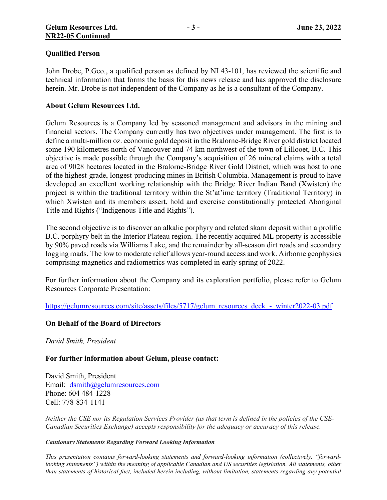#### **Qualified Person**

John Drobe, P.Geo., a qualified person as defined by NI 43-101, has reviewed the scientific and technical information that forms the basis for this news release and has approved the disclosure herein. Mr. Drobe is not independent of the Company as he is a consultant of the Company.

#### **About Gelum Resources Ltd.**

Gelum Resources is a Company led by seasoned management and advisors in the mining and financial sectors. The Company currently has two objectives under management. The first is to define a multi-million oz. economic gold deposit in the Bralorne-Bridge River gold district located some 190 kilometres north of Vancouver and 74 km northwest of the town of Lillooet, B.C. This objective is made possible through the Company's acquisition of 26 mineral claims with a total area of 9028 hectares located in the Bralorne-Bridge River Gold District, which was host to one of the highest-grade, longest-producing mines in British Columbia. Management is proud to have developed an excellent working relationship with the Bridge River Indian Band (Xwísten) the project is within the traditional territory within the St'at'imc territory (Traditional Territory) in which Xwísten and its members assert, hold and exercise constitutionally protected Aboriginal Title and Rights ("Indigenous Title and Rights").

The second objective is to discover an alkalic porphyry and related skarn deposit within a prolific B.C. porphyry belt in the Interior Plateau region. The recently acquired ML property is accessible by 90% paved roads via Williams Lake, and the remainder by all-season dirt roads and secondary logging roads. The low to moderate relief allows year-round access and work. Airborne geophysics comprising magnetics and radiometrics was completed in early spring of 2022.

For further information about the Company and its exploration portfolio, please refer to Gelum Resources Corporate Presentation:

[https://gelumresources.com/site/assets/files/5717/gelum\\_resources\\_deck\\_-\\_winter2022-03.pdf](https://gelumresources.com/site/assets/files/5717/gelum_resources_deck_-_winter2022-03.pdf)

#### **On Behalf of the Board of Directors**

*David Smith, President*

#### **For further information about Gelum, please contact:**

David Smith, President Email: [dsmith@gelumresources.com](mailto:dsmith@gelumresources.com) Phone: 604 484-1228 Cell: 778-834-1141

*Neither the CSE nor its Regulation Services Provider (as that term is defined in the policies of the CSE-Canadian Securities Exchange) accepts responsibility for the adequacy or accuracy of this release.*

#### *Cautionary Statements Regarding Forward Looking Information*

*This presentation contains forward-looking statements and forward-looking information (collectively, "forwardlooking statements") within the meaning of applicable Canadian and US securities legislation. All statements, other than statements of historical fact, included herein including, without limitation, statements regarding any potential*